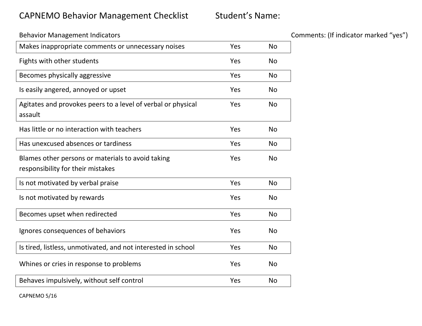## CAPNEMO Behavior Management Checklist Student's Name:

| <b>Behavior Management Indicators</b>                                                  |     |           |
|----------------------------------------------------------------------------------------|-----|-----------|
| Makes inappropriate comments or unnecessary noises                                     | Yes | <b>No</b> |
| Fights with other students                                                             | Yes | <b>No</b> |
| Becomes physically aggressive                                                          | Yes | <b>No</b> |
| Is easily angered, annoyed or upset                                                    | Yes | <b>No</b> |
| Agitates and provokes peers to a level of verbal or physical<br>assault                | Yes | <b>No</b> |
| Has little or no interaction with teachers                                             | Yes | <b>No</b> |
| Has unexcused absences or tardiness                                                    | Yes | <b>No</b> |
| Blames other persons or materials to avoid taking<br>responsibility for their mistakes | Yes | <b>No</b> |
| Is not motivated by verbal praise                                                      | Yes | <b>No</b> |
| Is not motivated by rewards                                                            | Yes | <b>No</b> |
| Becomes upset when redirected                                                          | Yes | <b>No</b> |
| Ignores consequences of behaviors                                                      | Yes | <b>No</b> |
| Is tired, listless, unmotivated, and not interested in school                          | Yes | <b>No</b> |
| Whines or cries in response to problems                                                | Yes | <b>No</b> |
| Behaves impulsively, without self control                                              | Yes | <b>No</b> |

Comments: (If indicator marked "yes")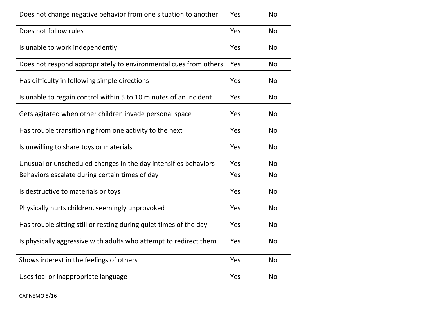| Does not change negative behavior from one situation to another | No |  |
|-----------------------------------------------------------------|----|--|
|-----------------------------------------------------------------|----|--|

| Does not follow rules                                              | Yes | <b>No</b> |
|--------------------------------------------------------------------|-----|-----------|
| Is unable to work independently                                    | Yes | <b>No</b> |
| Does not respond appropriately to environmental cues from others   | Yes | <b>No</b> |
| Has difficulty in following simple directions                      | Yes | <b>No</b> |
| Is unable to regain control within 5 to 10 minutes of an incident  | Yes | <b>No</b> |
| Gets agitated when other children invade personal space            | Yes | <b>No</b> |
| Has trouble transitioning from one activity to the next            | Yes | <b>No</b> |
| Is unwilling to share toys or materials                            | Yes | <b>No</b> |
| Unusual or unscheduled changes in the day intensifies behaviors    | Yes | <b>No</b> |
| Behaviors escalate during certain times of day                     | Yes | <b>No</b> |
| Is destructive to materials or toys                                | Yes | <b>No</b> |
| Physically hurts children, seemingly unprovoked                    | Yes | <b>No</b> |
| Has trouble sitting still or resting during quiet times of the day | Yes | <b>No</b> |
| Is physically aggressive with adults who attempt to redirect them  | Yes | <b>No</b> |
| Shows interest in the feelings of others                           | Yes | <b>No</b> |
| Uses foal or inappropriate language                                | Yes | <b>No</b> |

CAPNEMO 5/16